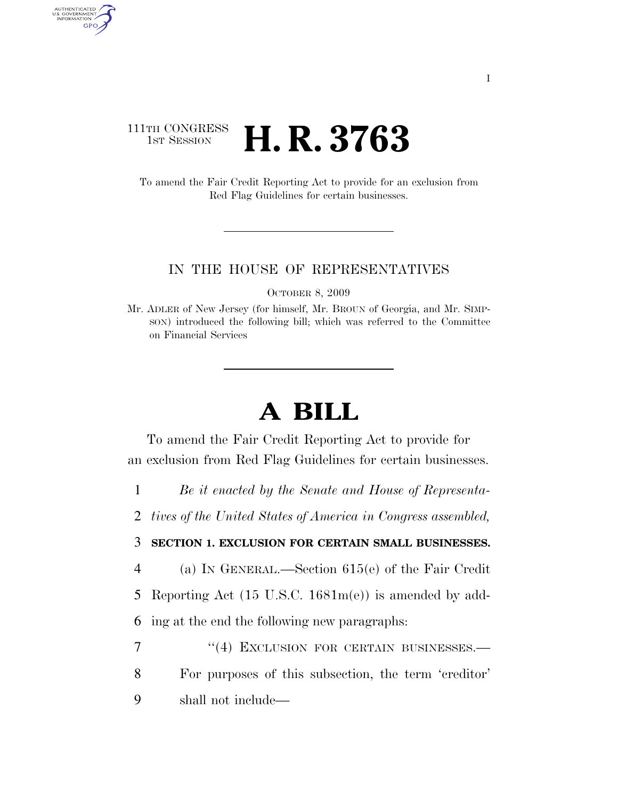## 111TH CONGRESS **1st Session H. R. 3763**

AUTHENTICATED U.S. GOVERNMENT GPO

> To amend the Fair Credit Reporting Act to provide for an exclusion from Red Flag Guidelines for certain businesses.

## IN THE HOUSE OF REPRESENTATIVES

OCTOBER 8, 2009

## **A BILL**

To amend the Fair Credit Reporting Act to provide for an exclusion from Red Flag Guidelines for certain businesses.

1 *Be it enacted by the Senate and House of Representa-*

2 *tives of the United States of America in Congress assembled,* 

## 3 **SECTION 1. EXCLUSION FOR CERTAIN SMALL BUSINESSES.**

4 (a) IN GENERAL.—Section 615(e) of the Fair Credit

5 Reporting Act (15 U.S.C. 1681m(e)) is amended by add-

6 ing at the end the following new paragraphs:

7 "(4) EXCLUSION FOR CERTAIN BUSINESSES. 8 For purposes of this subsection, the term 'creditor' 9 shall not include—

Mr. ADLER of New Jersey (for himself, Mr. BROUN of Georgia, and Mr. SIMP-SON) introduced the following bill; which was referred to the Committee on Financial Services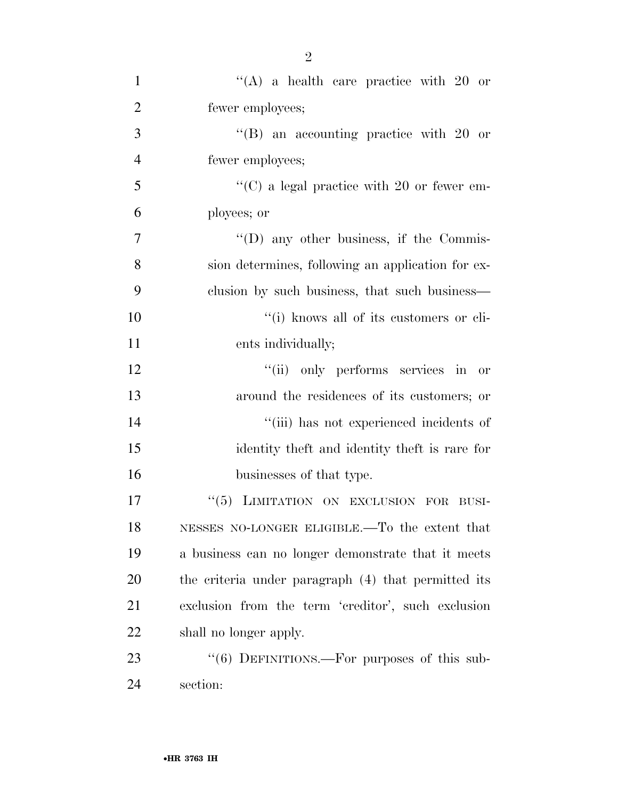| $\mathbf{1}$   | "(A) a health care practice with 20 or              |
|----------------|-----------------------------------------------------|
| $\overline{2}$ | fewer employees;                                    |
| 3              | $\mathrm{``(B)}$ an accounting practice with 20 or  |
| $\overline{4}$ | fewer employees;                                    |
| 5              | $\lq\lq$ (C) a legal practice with 20 or fewer em-  |
| 6              | ployees; or                                         |
| 7              | $\lq\lq$ (D) any other business, if the Commis-     |
| 8              | sion determines, following an application for ex-   |
| 9              | clusion by such business, that such business—       |
| 10             | "(i) knows all of its customers or cli-             |
| 11             | ents individually;                                  |
| 12             | "(ii) only performs services in or                  |
| 13             | around the residences of its customers; or          |
| 14             | "(iii) has not experienced incidents of             |
| 15             | identity the ft and identity the ft is rare for     |
| 16             | businesses of that type.                            |
| 17             | "(5) LIMITATION ON EXCLUSION FOR<br>BUSI-           |
| 18             | NESSES NO-LONGER ELIGIBLE.—To the extent that       |
| 19             | a business can no longer demonstrate that it meets  |
| 20             | the criteria under paragraph (4) that permitted its |
| 21             | exclusion from the term 'creditor', such exclusion  |
| 22             | shall no longer apply.                              |
| 23             | " $(6)$ DEFINITIONS.—For purposes of this sub-      |
| 24             | section:                                            |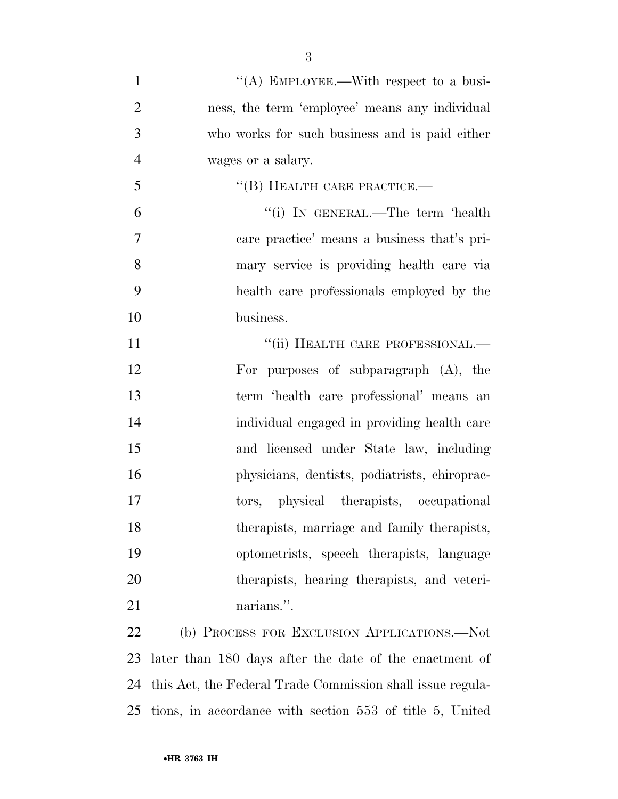| $\mathbf{1}$   | "(A) EMPLOYEE.—With respect to a busi-         |
|----------------|------------------------------------------------|
| $\overline{2}$ | ness, the term 'employee' means any individual |
| 3              | who works for such business and is paid either |
| $\overline{4}$ | wages or a salary.                             |
| 5              | $``$ (B) HEALTH CARE PRACTICE.—                |
| 6              | "(i) In GENERAL.—The term 'health              |
| $\tau$         | care practice' means a business that's pri-    |
| 8              | mary service is providing health care via      |
| 9              | health care professionals employed by the      |
| 10             | business.                                      |
| 11             | "(ii) HEALTH CARE PROFESSIONAL.-               |
| 12             | For purposes of subparagraph $(A)$ , the       |
| 13             | term 'health care professional' means an       |
| 14             | individual engaged in providing health care    |
| 15             | and licensed under State law, including        |
| 16             | physicians, dentists, podiatrists, chiroprac-  |
| 17             | tors, physical therapists, occupational        |
| 18             | therapists, marriage and family therapists,    |
| 19             | optometrists, speech therapists, language      |
| 20             | therapists, hearing therapists, and veteri-    |
| 21             | narians.".                                     |
| 22             | (b) PROCESS FOR EXCLUSION APPLICATIONS.-Not    |
|                |                                                |

 later than 180 days after the date of the enactment of this Act, the Federal Trade Commission shall issue regula-tions, in accordance with section 553 of title 5, United